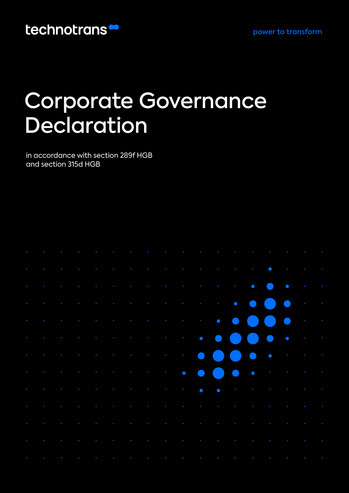### technotrans<sup>®</sup>

# Corporate Governance Declaration

in accordance with section 289f HGB and section 315d HGB

|  |  |  |  | $\mathcal{F}^{\mathcal{A}}$ , and the set of the set of the set of the set of the set of the set of the set of the set of the set of the set of the set of the set of the set of the set of the set of the set of the set of the set of t                                                                                                                                                                                       |  |  |  |  |  |
|--|--|--|--|---------------------------------------------------------------------------------------------------------------------------------------------------------------------------------------------------------------------------------------------------------------------------------------------------------------------------------------------------------------------------------------------------------------------------------|--|--|--|--|--|
|  |  |  |  | where the contribution of the contribution of the contribution of the contribution of $\mathcal{E}$                                                                                                                                                                                                                                                                                                                             |  |  |  |  |  |
|  |  |  |  | $\mathcal{L}^{(n)}(\mathcal{L}^{(n)}(\mathcal{L}^{(n)})\otimes\mathcal{L}^{(n)}(\mathcal{L}^{(n)})\otimes\mathcal{L}^{(n)}(\mathcal{L}^{(n)})\otimes\mathcal{L}^{(n)}(\mathcal{L}^{(n)})\otimes\mathcal{L}^{(n)}(\mathcal{L}^{(n)})\otimes\mathcal{L}^{(n)}(\mathcal{L}^{(n)})\otimes\mathcal{L}^{(n)}(\mathcal{L}^{(n)})\otimes\mathcal{L}^{(n)}(\mathcal{L}^{(n)})\otimes\mathcal{L}^{(n)}(\mathcal{L}^{(n)})\otimes\mathcal$ |  |  |  |  |  |
|  |  |  |  | $\mathcal{L}^{(n)}(\mathcal{A}^{(n)},\mathcal{A}^{(n)},\mathcal{A}^{(n)},\mathcal{A}^{(n)},\mathcal{A}^{(n)},\mathcal{A}^{(n)},\mathcal{A}^{(n)},\mathcal{A}^{(n)},\mathcal{A}^{(n)},\mathcal{A}^{(n)},\mathcal{A}^{(n)},\mathcal{A}^{(n)},\mathcal{A}^{(n)},\mathcal{A}^{(n)},\mathcal{A}^{(n)},\mathcal{A}^{(n)},\mathcal{A}^{(n)},\mathcal{A}^{(n)},\mathcal{A}^{(n)},\mathcal{A}^{(n)},\mathcal{A}^{(n)},$                  |  |  |  |  |  |
|  |  |  |  |                                                                                                                                                                                                                                                                                                                                                                                                                                 |  |  |  |  |  |
|  |  |  |  |                                                                                                                                                                                                                                                                                                                                                                                                                                 |  |  |  |  |  |
|  |  |  |  |                                                                                                                                                                                                                                                                                                                                                                                                                                 |  |  |  |  |  |
|  |  |  |  |                                                                                                                                                                                                                                                                                                                                                                                                                                 |  |  |  |  |  |
|  |  |  |  | $\mathcal{A}^{\mathcal{A}}$ , and the set of the set of the set of the set of the set of the set of the set of the set of the set of the set of the set of the set of the set of the set of the set of the set of the set of the set of t                                                                                                                                                                                       |  |  |  |  |  |
|  |  |  |  | $\sigma$ , and the set of the set of the set of the set of the set of the set of the set of the set of the set of the set of the set of the set of the set of the set of the set of the set of the set of the set of the set of t                                                                                                                                                                                               |  |  |  |  |  |
|  |  |  |  | $\sigma$ , and the set of the set of the set of the set of the set of the set of the set of the set of the set of the set of the set of the set of the set of the set of the set of the set of the set of the set of the set of t                                                                                                                                                                                               |  |  |  |  |  |
|  |  |  |  | $\mathcal{F}^{\mathcal{A}}$ , the state of the state of the state of the state of the state of the state of the state of the state of the state of the state of the state of the state of the state of the state of the state of the stat                                                                                                                                                                                       |  |  |  |  |  |
|  |  |  |  | الحالية والمعارض والمستقيل والمستنقص والمستنقص والمستنقص والمستنقص والمستنقص والمستنقص والمستنقص والمستنقص                                                                                                                                                                                                                                                                                                                      |  |  |  |  |  |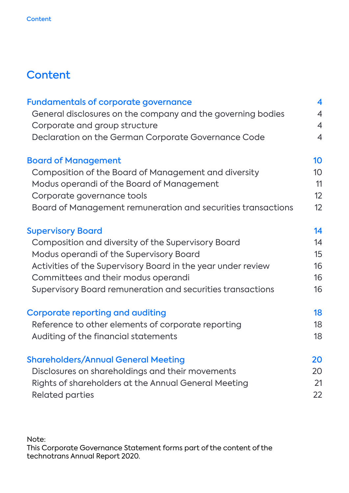### **Content**

| <b>Fundamentals of corporate governance</b>                  | 4               |
|--------------------------------------------------------------|-----------------|
| General disclosures on the company and the governing bodies  | $\overline{4}$  |
| Corporate and group structure                                | $\overline{4}$  |
| Declaration on the German Corporate Governance Code          | $\overline{4}$  |
| <b>Board of Management</b>                                   | 10              |
| Composition of the Board of Management and diversity         | 10 <sup>°</sup> |
| Modus operandi of the Board of Management                    | 11              |
| Corporate governance tools                                   | 12              |
| Board of Management remuneration and securities transactions | 12              |
| <b>Supervisory Board</b>                                     | 14              |
| Composition and diversity of the Supervisory Board           | 14              |
| Modus operandi of the Supervisory Board                      | 15              |
| Activities of the Supervisory Board in the year under review | 16              |
| Committees and their modus operandi                          | 16              |
| Supervisory Board remuneration and securities transactions   | 16              |
| <b>Corporate reporting and auditing</b>                      | 18              |
| Reference to other elements of corporate reporting           | 18              |
| Auditing of the financial statements                         | 18              |
| <b>Shareholders/Annual General Meeting</b>                   | 20              |
| Disclosures on shareholdings and their movements             | 20              |
| Rights of shareholders at the Annual General Meeting         | 21              |
| <b>Related parties</b>                                       | 22              |

Note:

This Corporate Governance Statement forms part of the content of the technotrans Annual Report 2020.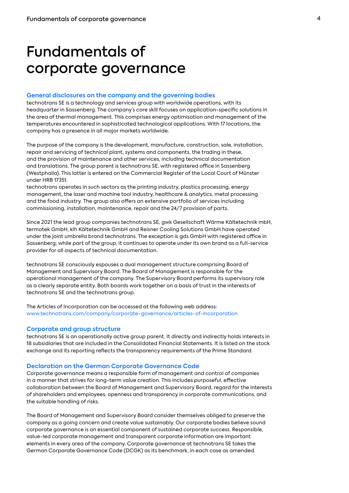### Fundamentals of corporate governance

### **General disclosures on the company and the governing bodies**

technotrans SE is a technology and services group with worldwide operations, with its headquarter in Sassenberg. The company's core skill focuses on application-specific solutions in the area of thermal management. This comprises energy optimisation and management of the temperatures encountered in sophisticated technological applications. With 17 locations, the company has a presence in all major markets worldwide.

The purpose of the company is the development, manufacture, construction, sale, installation, repair and servicing of technical plant, systems and components, the trading in these, and the provision of maintenance and other services, including technical documentation and translations. The group parent is technotrans SE, with registered office in Sassenberg (Westphalia). This latter is entered on the Commercial Register of the Local Court of Münster under HRB 17351.

technotrans operates in such sectors as the printing industry, plastics processing, energy management, the laser and machine tool industry, healthcare & analytics, metal processing and the food industry. The group also offers an extensive portfolio of services including commissioning, installation, maintenance, repair and the 24/7 provision of parts.

Since 2021 the lead group companies technotrans SE, gwk Gesellschaft Wärme Kältetechnik mbH, termotek GmbH, klh Kältetechnik GmbH and Reisner Cooling Solutions GmbH have operated under the joint umbrella brand technotrans. The exception is gds GmbH with registered office in Sassenberg; while part of the group, it continues to operate under its own brand as a full-service provider for all aspects of technical documentation.

technotrans SE consciously espouses a dual management structure comprising Board of Management and Supervisory Board. The Board of Management is responsible for the operational management of the company. The Supervisory Board performs its supervisory role as a clearly separate entity. Both boards work together on a basis of trust in the interests of technotrans SE and the technotrans group.

The Articles of Incorporation can be accessed at the following web address: www.technotrans.com/company/corporate-governance/articles-of-incorporation

### **Corporate and group structure**

technotrans SE is an operationally active group parent. It directly and indirectly holds interests in 18 subsidiaries that are included in the Consolidated Financial Statements. It is listed on the stock exchange and its reporting reflects the transparency requirements of the Prime Standard.

### **Declaration on the German Corporate Governance Code**

Corporate governance means a responsible form of management and control of companies in a manner that strives for long-term value creation. This includes purposeful, effective collaboration between the Board of Management and Supervisory Board, regard for the interests of shareholders and employees, openness and transparency in corporate communications, and the suitable handling of risks.

The Board of Management and Supervisory Board consider themselves obliged to preserve the company as a going concern and create value sustainably. Our corporate bodies believe sound corporate governance is an essential component of sustained corporate success. Responsible, value-led corporate management and transparent corporate information are important elements in every area of the company. Corporate governance at technotrans SE takes the German Corporate Governance Code (DCGK) as its benchmark, in each case as amended.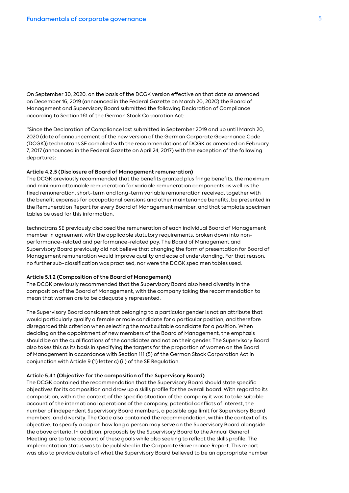On September 30, 2020, on the basis of the DCGK version effective on that date as amended on December 16, 2019 (announced in the Federal Gazette on March 20, 2020) the Board of Management and Supervisory Board submitted the following Declaration of Compliance according to Section 161 of the German Stock Corporation Act:

"Since the Declaration of Compliance last submitted in September 2019 and up until March 20, 2020 (date of announcement of the new version of the German Corporate Governance Code (DCGK)) technotrans SE complied with the recommendations of DCGK as amended on February 7, 2017 (announced in the Federal Gazette on April 24, 2017) with the exception of the following departures:

### **Article 4.2.5 (Disclosure of Board of Management remuneration)**

The DCGK previously recommended that the benefits granted plus fringe benefits, the maximum and minimum attainable remuneration for variable remuneration components as well as the fixed remuneration, short-term and long-term variable remuneration received, together with the benefit expenses for occupational pensions and other maintenance benefits, be presented in the Remuneration Report for every Board of Management member, and that template specimen tables be used for this information.

technotrans SE previously disclosed the remuneration of each individual Board of Management member in agreement with the applicable statutory requirements, broken down into nonperformance-related and performance-related pay. The Board of Management and Supervisory Board previously did not believe that changing the form of presentation for Board of Management remuneration would improve quality and ease of understanding. For that reason, no further sub-classification was practised, nor were the DCGK specimen tables used.

#### **Article 5.1.2 (Composition of the Board of Management)**

The DCGK previously recommended that the Supervisory Board also heed diversity in the composition of the Board of Management, with the company taking the recommendation to mean that women are to be adequately represented.

The Supervisory Board considers that belonging to a particular gender is not an attribute that would particularly qualify a female or male candidate for a particular position, and therefore disregarded this criterion when selecting the most suitable candidate for a position. When deciding on the appointment of new members of the Board of Management, the emphasis should be on the qualifications of the candidates and not on their gender. The Supervisory Board also takes this as its basis in specifying the targets for the proportion of women on the Board of Management in accordance with Section 111 (5) of the German Stock Corporation Act in conjunction with Article 9 (1) letter c) (ii) of the SE Regulation.

#### **Article 5.4.1 (Objective for the composition of the Supervisory Board)**

The DCGK contained the recommendation that the Supervisory Board should state specific objectives for its composition and draw up a skills profile for the overall board. With regard to its composition, within the context of the specific situation of the company it was to take suitable account of the international operations of the company, potential conflicts of interest, the number of independent Supervisory Board members, a possible age limit for Supervisory Board members, and diversity. The Code also contained the recommendation, within the context of its objective, to specify a cap on how long a person may serve on the Supervisory Board alongside the above criteria. In addition, proposals by the Supervisory Board to the Annual General Meeting are to take account of these goals while also seeking to reflect the skills profile. The implementation status was to be published in the Corporate Governance Report. This report was also to provide details of what the Supervisory Board believed to be an appropriate number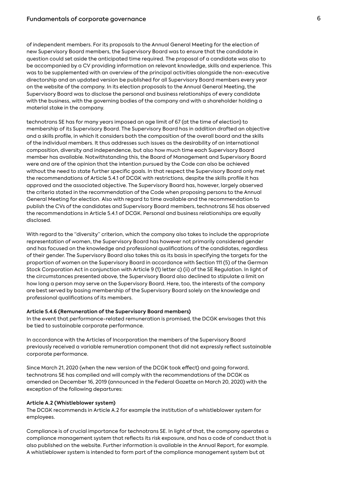of independent members. For its proposals to the Annual General Meeting for the election of new Supervisory Board members, the Supervisory Board was to ensure that the candidate in question could set aside the anticipated time required. The proposal of a candidate was also to be accompanied by a CV providing information on relevant knowledge, skills and experience. This was to be supplemented with an overview of the principal activities alongside the non-executive directorship and an updated version be published for all Supervisory Board members every year on the website of the company. In its election proposals to the Annual General Meeting, the Supervisory Board was to disclose the personal and business relationships of every candidate with the business, with the governing bodies of the company and with a shareholder holding a material stake in the company.

technotrans SE has for many years imposed an age limit of 67 (at the time of election) to membership of its Supervisory Board. The Supervisory Board has in addition drafted an objective and a skills profile, in which it considers both the composition of the overall board and the skills of the individual members. It thus addresses such issues as the desirability of an international composition, diversity and independence, but also how much time each Supervisory Board member has available. Notwithstanding this, the Board of Management and Supervisory Board were and are of the opinion that the intention pursued by the Code can also be achieved without the need to state further specific goals. In that respect the Supervisory Board only met the recommendations of Article 5.4.1 of DCGK with restrictions, despite the skills profile it has approved and the associated objective. The Supervisory Board has, however, largely observed the criteria stated in the recommendation of the Code when proposing persons to the Annual General Meeting for election. Also with regard to time available and the recommendation to publish the CVs of the candidates and Supervisory Board members, technotrans SE has observed the recommendations in Article 5.4.1 of DCGK. Personal and business relationships are equally disclosed.

With regard to the "diversity" criterion, which the company also takes to include the appropriate representation of women, the Supervisory Board has however not primarily considered gender and has focused on the knowledge and professional qualifications of the candidates, regardless of their gender. The Supervisory Board also takes this as its basis in specifying the targets for the proportion of women on the Supervisory Board in accordance with Section 111 (5) of the German Stock Corporation Act in conjunction with Article 9 (1) letter c) (ii) of the SE Regulation. In light of the circumstances presented above, the Supervisory Board also declined to stipulate a limit on how long a person may serve on the Supervisory Board. Here, too, the interests of the company are best served by basing membership of the Supervisory Board solely on the knowledge and professional qualifications of its members.

### **Article 5.4.6 (Remuneration of the Supervisory Board members)**

In the event that performance-related remuneration is promised, the DCGK envisages that this be tied to sustainable corporate performance.

In accordance with the Articles of Incorporation the members of the Supervisory Board previously received a variable remuneration component that did not expressly reflect sustainable corporate performance.

Since March 21, 2020 (when the new version of the DCGK took effect) and going forward, technotrans SE has complied and will comply with the recommendations of the DCGK as amended on December 16, 2019 (announced in the Federal Gazette on March 20, 2020) with the exception of the following departures:

### **Article A.2 (Whistleblower system)**

The DCGK recommends in Article A.2 for example the institution of a whistleblower system for employees.

Compliance is of crucial importance for technotrans SE. In light of that, the company operates a compliance management system that reflects its risk exposure, and has a code of conduct that is also published on the website. Further information is available in the Annual Report, for example. A whistleblower system is intended to form part of the compliance management system but at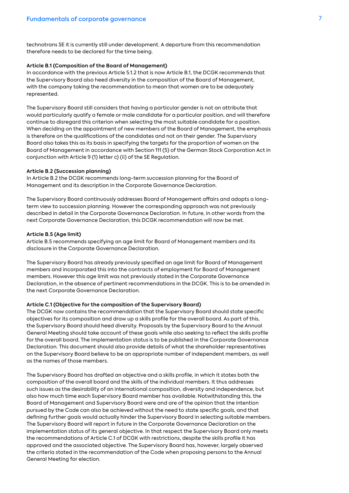technotrans SE it is currently still under development. A departure from this recommendation therefore needs to be declared for the time being.

### **Article B.1 (Composition of the Board of Management)**

In accordance with the previous Article 5.1.2 that is now Article B.1, the DCGK recommends that the Supervisory Board also heed diversity in the composition of the Board of Management, with the company taking the recommendation to mean that women are to be adequately represented.

The Supervisory Board still considers that having a particular gender is not an attribute that would particularly qualify a female or male candidate for a particular position, and will therefore continue to disregard this criterion when selecting the most suitable candidate for a position. When deciding on the appointment of new members of the Board of Management, the emphasis is therefore on the qualifications of the candidates and not on their gender. The Supervisory Board also takes this as its basis in specifying the targets for the proportion of women on the Board of Management in accordance with Section 111 (5) of the German Stock Corporation Act in conjunction with Article 9 (1) letter c) (ii) of the SE Regulation.

### **Article B.2 (Succession planning)**

In Article B.2 the DCGK recommends long-term succession planning for the Board of Management and its description in the Corporate Governance Declaration.

The Supervisory Board continuously addresses Board of Management affairs and adopts a longterm view to succession planning. However the corresponding approach was not previously described in detail in the Corporate Governance Declaration. In future, in other words from the next Corporate Governance Declaration, this DCGK recommendation will now be met.

### **Article B.5 (Age limit)**

Article B.5 recommends specifying an age limit for Board of Management members and its disclosure in the Corporate Governance Declaration.

The Supervisory Board has already previously specified an age limit for Board of Management members and incorporated this into the contracts of employment for Board of Management members. However this age limit was not previously stated in the Corporate Governance Declaration, in the absence of pertinent recommendations in the DCGK. This is to be amended in the next Corporate Governance Declaration.

#### **Article C.1 (Objective for the composition of the Supervisory Board)**

The DCGK now contains the recommendation that the Supervisory Board should state specific objectives for its composition and draw up a skills profile for the overall board. As part of this, the Supervisory Board should heed diversity. Proposals by the Supervisory Board to the Annual General Meeting should take account of these goals while also seeking to reflect the skills profile for the overall board. The implementation status is to be published in the Corporate Governance Declaration. This document should also provide details of what the shareholder representatives on the Supervisory Board believe to be an appropriate number of independent members, as well as the names of those members.

The Supervisory Board has drafted an objective and a skills profile, in which it states both the composition of the overall board and the skills of the individual members. It thus addresses such issues as the desirability of an international composition, diversity and independence, but also how much time each Supervisory Board member has available. Notwithstanding this, the Board of Management and Supervisory Board were and are of the opinion that the intention pursued by the Code can also be achieved without the need to state specific goals, and that defining further goals would actually hinder the Supervisory Board in selecting suitable members. The Supervisory Board will report in future in the Corporate Governance Declaration on the implementation status of its general objective. In that respect the Supervisory Board only meets the recommendations of Article C.1 of DCGK with restrictions, despite the skills profile it has approved and the associated objective. The Supervisory Board has, however, largely observed the criteria stated in the recommendation of the Code when proposing persons to the Annual General Meeting for election.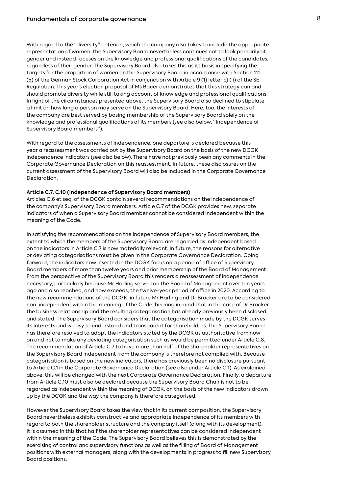With regard to the "diversity" criterion, which the company also takes to include the appropriate representation of women, the Supervisory Board nevertheless continues not to look primarily at gender and instead focuses on the knowledge and professional qualifications of the candidates, regardless of their gender. The Supervisory Board also takes this as its basis in specifying the targets for the proportion of women on the Supervisory Board in accordance with Section 111 (5) of the German Stock Corporation Act in conjunction with Article 9 (1) letter c) (ii) of the SE Regulation. This year's election proposal of Ms Bauer demonstrates that this strategy can and should promote diversity while still taking account of knowledge and professional qualifications. In light of the circumstances presented above, the Supervisory Board also declined to stipulate a limit on how long a person may serve on the Supervisory Board. Here, too, the interests of the company are best served by basing membership of the Supervisory Board solely on the knowledge and professional qualifications of its members (see also below, "Independence of Supervisory Board members").

With regard to the assessments of independence, one departure is declared because this year a reassessment was carried out by the Supervisory Board on the basis of the new DCGK independence indicators (see also below). There have not previously been any comments in the Corporate Governance Declaration on this reassessment. In future, these disclosures on the current assessment of the Supervisory Board will also be included in the Corporate Governance Declaration.

### **Article C.7, C.10 (Independence of Supervisory Board members)**

Articles C.6 et seq. of the DCGK contain several recommendations on the independence of the company's Supervisory Board members. Article C.7 of the DCGK provides new, separate indicators of when a Supervisory Board member cannot be considered independent within the meaning of the Code.

In satisfying the recommendations on the independence of Supervisory Board members, the extent to which the members of the Supervisory Board are regarded as independent based on the indicators in Article C.7 is now materially relevant. In future, the reasons for alternative or deviating categorisations must be given in the Corporate Governance Declaration. Going forward, the indicators now inserted in the DCGK focus on a period of office of Supervisory Board members of more than twelve years and prior membership of the Board of Management. From the perspective of the Supervisory Board this renders a reassessment of independence necessary, particularly because Mr Harling served on the Board of Management over ten years ago and also reached, and now exceeds, the twelve-year period of office in 2020. According to the new recommendations of the DCGK, in future Mr Harling and Dr Bröcker are to be considered non-independent within the meaning of the Code, bearing in mind that in the case of Dr Bröcker the business relationship and the resulting categorisation has already previously been disclosed and stated. The Supervisory Board considers that the categorisation made by the DCGK serves its interests and is easy to understand and transparent for shareholders. The Supervisory Board has therefore resolved to adopt the indicators stated by the DCGK as authoritative from now on and not to make any deviating categorisation such as would be permitted under Article C.8. The recommendation of Article C.7 to have more than half of the shareholder representatives on the Supervisory Board independent from the company is therefore not complied with. Because categorisation is based on the new indicators, there has previously been no disclosure pursuant to Article C.1 in the Corporate Governance Declaration (see also under Article C.1). As explained above, this will be changed with the next Corporate Governance Declaration. Finally, a departure from Article C.10 must also be declared because the Supervisory Board Chair is not to be regarded as independent within the meaning of DCGK, on the basis of the new indicators drawn up by the DCGK and the way the company is therefore categorised.

However the Supervisory Board takes the view that in its current composition, the Supervisory Board nevertheless exhibits constructive and appropriate independence of its members with regard to both the shareholder structure and the company itself (along with its development). It is assumed in this that half the shareholder representatives can be considered independent within the meaning of the Code. The Supervisory Board believes this is demonstrated by the exercising of control and supervisory functions as well as the filling of Board of Management positions with external managers, along with the developments in progress to fill new Supervisory Board positions.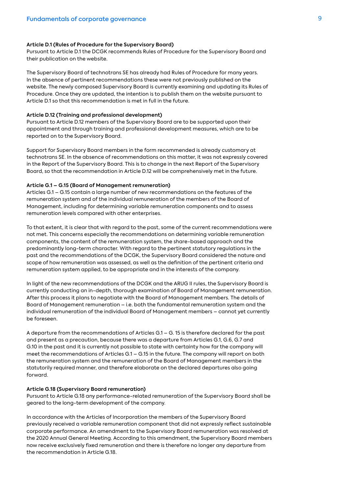### **Article D.1 (Rules of Procedure for the Supervisory Board)**

Pursuant to Article D.1 the DCGK recommends Rules of Procedure for the Supervisory Board and their publication on the website.

The Supervisory Board of technotrans SE has already had Rules of Procedure for many years. In the absence of pertinent recommendations these were not previously published on the website. The newly composed Supervisory Board is currently examining and updating its Rules of Procedure. Once they are updated, the intention is to publish them on the website pursuant to Article D.1 so that this recommendation is met in full in the future.

### **Article D.12 (Training and professional development)**

Pursuant to Article D.12 members of the Supervisory Board are to be supported upon their appointment and through training and professional development measures, which are to be reported on to the Supervisory Board.

Support for Supervisory Board members in the form recommended is already customary at technotrans SE. In the absence of recommendations on this matter, it was not expressly covered in the Report of the Supervisory Board. This is to change in the next Report of the Supervisory Board, so that the recommendation in Article D.12 will be comprehensively met in the future.

### **Article G.1 – G.15 (Board of Management remuneration)**

Articles G.1 – G.15 contain a large number of new recommendations on the features of the remuneration system and of the individual remuneration of the members of the Board of Management, including for determining variable remuneration components and to assess remuneration levels compared with other enterprises.

To that extent, it is clear that with regard to the past, some of the current recommendations were not met. This concerns especially the recommendations on determining variable remuneration components, the content of the remuneration system, the share-based approach and the predominantly long-term character. With regard to the pertinent statutory regulations in the past and the recommendations of the DCGK, the Supervisory Board considered the nature and scope of how remuneration was assessed, as well as the definition of the pertinent criteria and remuneration system applied, to be appropriate and in the interests of the company.

In light of the new recommendations of the DCGK and the ARUG II rules, the Supervisory Board is currently conducting an in-depth, thorough examination of Board of Management remuneration. After this process it plans to negotiate with the Board of Management members. The details of Board of Management remuneration – i.e. both the fundamental remuneration system and the individual remuneration of the individual Board of Management members – cannot yet currently be foreseen.

A departure from the recommendations of Articles G.1 – G. 15 is therefore declared for the past and present as a precaution, because there was a departure from Articles G.1, G.6, G.7 and G.10 in the past and it is currently not possible to state with certainty how far the company will meet the recommendations of Articles G.1 – G.15 in the future. The company will report on both the remuneration system and the remuneration of the Board of Management members in the statutorily required manner, and therefore elaborate on the declared departures also going forward.

#### **Article G.18 (Supervisory Board remuneration)**

Pursuant to Article G.18 any performance-related remuneration of the Supervisory Board shall be geared to the long-term development of the company.

In accordance with the Articles of Incorporation the members of the Supervisory Board previously received a variable remuneration component that did not expressly reflect sustainable corporate performance. An amendment to the Supervisory Board remuneration was resolved at the 2020 Annual General Meeting. According to this amendment, the Supervisory Board members now receive exclusively fixed remuneration and there is therefore no longer any departure from the recommendation in Article G.18.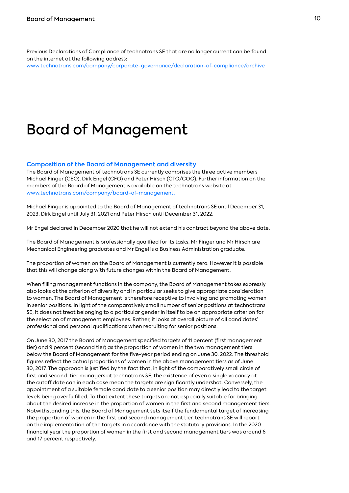Previous Declarations of Compliance of technotrans SE that are no longer current can be found on the internet at the following address:

www.technotrans.com/company/corporate-governance/declaration-of-compliance/archive

### Board of Management

### **Composition of the Board of Management and diversity**

The Board of Management of technotrans SE currently comprises the three active members Michael Finger (CEO), Dirk Engel (CFO) and Peter Hirsch (CTO/COO). Further information on the members of the Board of Management is available on the technotrans website at www.technotrans.com/company/board-of-management.

Michael Finger is appointed to the Board of Management of technotrans SE until December 31, 2023, Dirk Engel until July 31, 2021 and Peter Hirsch until December 31, 2022.

Mr Engel declared in December 2020 that he will not extend his contract beyond the above date.

The Board of Management is professionally qualified for its tasks. Mr Finger and Mr Hirsch are Mechanical Engineering graduates and Mr Engel is a Business Administration graduate.

The proportion of women on the Board of Management is currently zero. However it is possible that this will change along with future changes within the Board of Management.

When filling management functions in the company, the Board of Management takes expressly also looks at the criterion of diversity and in particular seeks to give appropriate consideration to women. The Board of Management is therefore receptive to involving and promoting women in senior positions. In light of the comparatively small number of senior positions at technotrans SE, it does not treat belonging to a particular gender in itself to be an appropriate criterion for the selection of management employees. Rather, it looks at overall picture of all candidates' professional and personal qualifications when recruiting for senior positions.

On June 30, 2017 the Board of Management specified targets of 11 percent (first management tier) and 9 percent (second tier) as the proportion of women in the two management tiers below the Board of Management for the five-year period ending on June 30, 2022. The threshold figures reflect the actual proportions of women in the above management tiers as of June 30, 2017. The approach is justified by the fact that, in light of the comparatively small circle of first and second-tier managers at technotrans SE, the existence of even a single vacancy at the cutoff date can in each case mean the targets are significantly undershot. Conversely, the appointment of a suitable female candidate to a senior position may directly lead to the target levels being overfulfilled. To that extent these targets are not especially suitable for bringing about the desired increase in the proportion of women in the first and second management tiers. Notwithstanding this, the Board of Management sets itself the fundamental target of increasing the proportion of women in the first and second management tier. technotrans SE will report on the implementation of the targets in accordance with the statutory provisions. In the 2020 financial year the proportion of women in the first and second management tiers was around 6 and 17 percent respectively.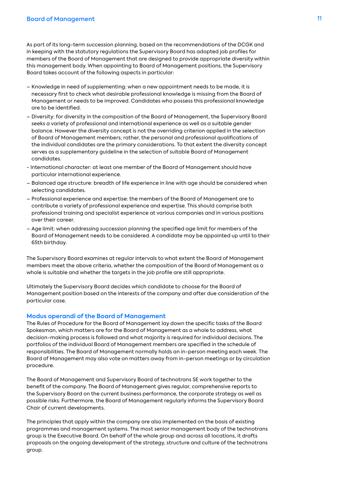As part of its long-term succession planning, based on the recommendations of the DCGK and in keeping with the statutory regulations the Supervisory Board has adopted job profiles for members of the Board of Management that are designed to provide appropriate diversity within this management body. When appointing to Board of Management positions, the Supervisory Board takes account of the following aspects in particular:

- Knowledge in need of supplementing: when a new appointment needs to be made, it is necessary first to check what desirable professional knowledge is missing from the Board of Management or needs to be improved. Candidates who possess this professional knowledge are to be identified.
- Diversity: for diversity in the composition of the Board of Management, the Supervisory Board seeks a variety of professional and international experience as well as a suitable gender balance. However the diversity concept is not the overriding criterion applied in the selection of Board of Management members; rather, the personal and professional qualifications of the individual candidates are the primary considerations. To that extent the diversity concept serves as a supplementary guideline in the selection of suitable Board of Management candidates.
- International character: at least one member of the Board of Management should have particular international experience.
- Balanced age structure: breadth of life experience in line with age should be considered when selecting candidates.
- Professional experience and expertise: the members of the Board of Management are to contribute a variety of professional experience and expertise. This should comprise both professional training and specialist experience at various companies and in various positions over their career.
- Age limit: when addressing succession planning the specified age limit for members of the Board of Management needs to be considered. A candidate may be appointed up until to their 65th birthday.

The Supervisory Board examines at regular intervals to what extent the Board of Management members meet the above criteria, whether the composition of the Board of Management as a whole is suitable and whether the targets in the job profile are still appropriate.

Ultimately the Supervisory Board decides which candidate to choose for the Board of Management position based on the interests of the company and after due consideration of the particular case.

### **Modus operandi of the Board of Management**

The Rules of Procedure for the Board of Management lay down the specific tasks of the Board Spokesman, which matters are for the Board of Management as a whole to address, what decision-making process is followed and what majority is required for individual decisions. The portfolios of the individual Board of Management members are specified in the schedule of responsibilities. The Board of Management normally holds an in-person meeting each week. The Board of Management may also vote on matters away from in-person meetings or by circulation procedure.

The Board of Management and Supervisory Board of technotrans SE work together to the benefit of the company. The Board of Management gives regular, comprehensive reports to the Supervisory Board on the current business performance, the corporate strategy as well as possible risks. Furthermore, the Board of Management regularly informs the Supervisory Board Chair of current developments.

The principles that apply within the company are also implemented on the basis of existing programmes and management systems. The most senior management body of the technotrans group is the Executive Board. On behalf of the whole group and across all locations, it drafts proposals on the ongoing development of the strategy, structure and culture of the technotrans group.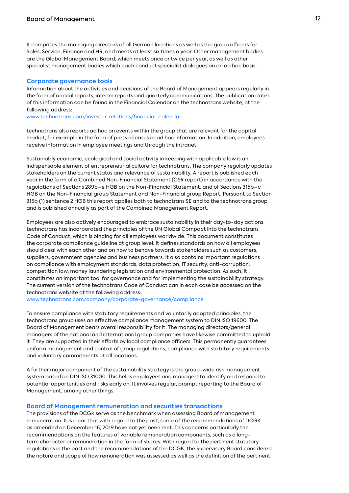It comprises the managing directors of all German locations as well as the group officers for Sales, Service, Finance and HR, and meets at least six times a year. Other management bodies are the Global Management Board, which meets once or twice per year, as well as other specialist management bodies which each conduct specialist dialogues on an ad hoc basis.

### **Corporate governance tools**

Information about the activities and decisions of the Board of Management appears regularly in the form of annual reports, interim reports and quarterly communications. The publication dates of this information can be found in the Financial Calendar on the technotrans website, at the following address:

www.technotrans.com/investor-relations/financial-calendar

technotrans also reports ad hoc on events within the group that are relevant for the capital market, for example in the form of press releases or ad hoc information. In addition, employees receive information in employee meetings and through the intranet.

Sustainably economic, ecological and social activity in keeping with applicable law is an indispensable element of entrepreneurial culture for technotrans. The company regularly updates stakeholders on the current status and relevance of sustainability. A report is published each year in the form of a Combined Non-Financial Statement (CSR report) in accordance with the regulations of Sections 289b–e HGB on the Non-Financial Statement, and of Sections 315b–c HGB on the Non-Financial group Statement and Non-Financial group Report. Pursuant to Section 315b (1) sentence 2 HGB this report applies both to technotrans SE and to the technotrans group, and is published annually as part of the Combined Management Report.

Employees are also actively encouraged to embrace sustainability in their day-to-day actions. technotrans has incorporated the principles of the UN Global Compact into the technotrans Code of Conduct, which is binding for all employees worldwide. This document constitutes the corporate compliance guideline at group level. It defines standards on how all employees should deal with each other and on how to behave towards stakeholders such as customers, suppliers, government agencies and business partners. It also contains important regulations on compliance with employment standards, data protection, IT security, anti-corruption, competition law, money laundering legislation and environmental protection. As such, it constitutes an important tool for governance and for implementing the sustainability strategy. The current version of the technotrans Code of Conduct can in each case be accessed on the technotrans website at the following address:

www.technotrans.com/company/corporate-governance/compliance

To ensure compliance with statutory requirements and voluntarily adopted principles, the technotrans group uses an effective compliance management system to DIN ISO 19600. The Board of Management bears overall responsibility for it. The managing directors/general managers of the national and international group companies have likewise committed to uphold it. They are supported in their efforts by local compliance officers. This permanently guarantees uniform management and control of group regulations, compliance with statutory requirements and voluntary commitments at all locations.

A further major component of the sustainability strategy is the group-wide risk management system based on DIN ISO 31000. This helps employees and managers to identify and respond to potential opportunities and risks early on. It involves regular, prompt reporting to the Board of Management, among other things.

### **Board of Management remuneration and securities transactions**

The provisions of the DCGK serve as the benchmark when assessing Board of Management remuneration. It is clear that with regard to the past, some of the recommendations of DCGK as amended on December 16, 2019 have not yet been met. This concerns particularly the recommendations on the features of variable remuneration components, such as a longterm character or remuneration in the form of shares. With regard to the pertinent statutory regulations in the past and the recommendations of the DCGK, the Supervisory Board considered the nature and scope of how remuneration was assessed as well as the definition of the pertinent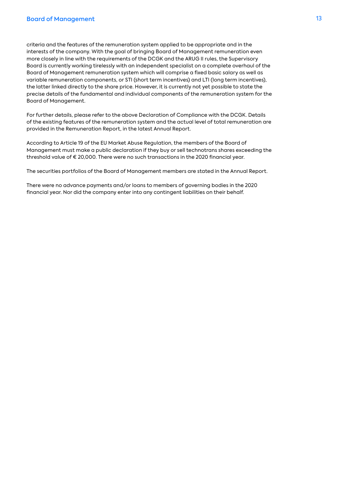criteria and the features of the remuneration system applied to be appropriate and in the interests of the company. With the goal of bringing Board of Management remuneration even more closely in line with the requirements of the DCGK and the ARUG II rules, the Supervisory Board is currently working tirelessly with an independent specialist on a complete overhaul of the Board of Management remuneration system which will comprise a fixed basic salary as well as variable remuneration components, or STI (short term incentives) and LTI (long term incentives), the latter linked directly to the share price. However, it is currently not yet possible to state the precise details of the fundamental and individual components of the remuneration system for the Board of Management.

For further details, please refer to the above Declaration of Compliance with the DCGK. Details of the existing features of the remuneration system and the actual level of total remuneration are provided in the Remuneration Report, in the latest Annual Report.

According to Article 19 of the EU Market Abuse Regulation, the members of the Board of Management must make a public declaration if they buy or sell technotrans shares exceeding the threshold value of € 20,000. There were no such transactions in the 2020 financial year.

The securities portfolios of the Board of Management members are stated in the Annual Report.

There were no advance payments and/or loans to members of governing bodies in the 2020 financial year. Nor did the company enter into any contingent liabilities on their behalf.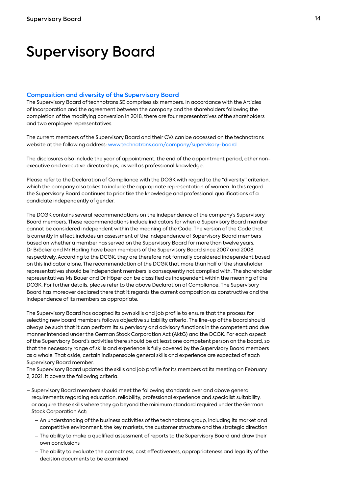### Supervisory Board

### **Composition and diversity of the Supervisory Board**

The Supervisory Board of technotrans SE comprises six members. In accordance with the Articles of Incorporation and the agreement between the company and the shareholders following the completion of the modifying conversion in 2018, there are four representatives of the shareholders and two employee representatives.

The current members of the Supervisory Board and their CVs can be accessed on the technotrans website at the following address: www.technotrans.com/company/supervisory-board

The disclosures also include the year of appointment, the end of the appointment period, other nonexecutive and executive directorships, as well as professional knowledge.

Please refer to the Declaration of Compliance with the DCGK with regard to the "diversity" criterion, which the company also takes to include the appropriate representation of women. In this regard the Supervisory Board continues to prioritise the knowledge and professional qualifications of a candidate independently of gender.

The DCGK contains several recommendations on the independence of the company's Supervisory Board members. These recommendations include indicators for when a Supervisory Board member cannot be considered independent within the meaning of the Code. The version of the Code that is currently in effect includes an assessment of the independence of Supervisory Board members based on whether a member has served on the Supervisory Board for more than twelve years. Dr Bröcker and Mr Harling have been members of the Supervisory Board since 2007 and 2008 respectively. According to the DCGK, they are therefore not formally considered independent based on this indicator alone. The recommendation of the DCGK that more than half of the shareholder representatives should be independent members is consequently not complied with. The shareholder representatives Ms Bauer and Dr Höper can be classified as independent within the meaning of the DCGK. For further details, please refer to the above Declaration of Compliance. The Supervisory Board has moreover declared there that it regards the current composition as constructive and the independence of its members as appropriate.

The Supervisory Board has adopted its own skills and job profile to ensure that the process for selecting new board members follows objective suitability criteria. The line-up of the board should always be such that it can perform its supervisory and advisory functions in the competent and due manner intended under the German Stock Corporation Act (AktG) and the DCGK. For each aspect of the Supervisory Board's activities there should be at least one competent person on the board, so that the necessary range of skills and experience is fully covered by the Supervisory Board members as a whole. That aside, certain indispensable general skills and experience are expected of each Supervisory Board member.

The Supervisory Board updated the skills and job profile for its members at its meeting on February 2, 2021. It covers the following criteria:

- Supervisory Board members should meet the following standards over and above general requirements regarding education, reliability, professional experience and specialist suitability, or acquire these skills where they go beyond the minimum standard required under the German Stock Corporation Act:
	- An understanding of the business activities of the technotrans group, including its market and competitive environment, the key markets, the customer structure and the strategic direction
	- The ability to make a qualified assessment of reports to the Supervisory Board and draw their own conclusions
	- The ability to evaluate the correctness, cost effectiveness, appropriateness and legality of the decision documents to be examined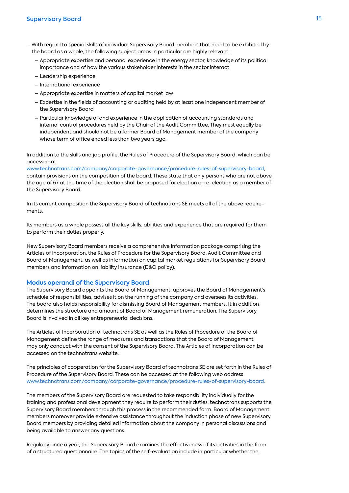- With regard to special skills of individual Supervisory Board members that need to be exhibited by the board as a whole, the following subject areas in particular are highly relevant:
	- Appropriate expertise and personal experience in the energy sector, knowledge of its political importance and of how the various stakeholder interests in the sector interact
	- Leadership experience
	- International experience
	- Appropriate expertise in matters of capital market law
	- Expertise in the fields of accounting or auditing held by at least one independent member of the Supervisory Board
	- Particular knowledge of and experience in the application of accounting standards and internal control procedures held by the Chair of the Audit Committee. They must equally be independent and should not be a former Board of Management member of the company whose term of office ended less than two years ago.

In addition to the skills and job profile, the Rules of Procedure of the Supervisory Board, which can be accessed at

www.technotrans.com/company/corporate-governance/procedure-rules-of-supervisory-board, contain provisions on the composition of the board. These state that only persons who are not above the age of 67 at the time of the election shall be proposed for election or re-election as a member of the Supervisory Board.

In its current composition the Supervisory Board of technotrans SE meets all of the above requirements.

Its members as a whole possess all the key skills, abilities and experience that are required for them to perform their duties properly.

New Supervisory Board members receive a comprehensive information package comprising the Articles of Incorporation, the Rules of Procedure for the Supervisory Board, Audit Committee and Board of Management, as well as information on capital market regulations for Supervisory Board members and information on liability insurance (D&O policy).

### **Modus operandi of the Supervisory Board**

The Supervisory Board appoints the Board of Management, approves the Board of Management's schedule of responsibilities, advises it on the running of the company and oversees its activities. The board also holds responsibility for dismissing Board of Management members. It in addition determines the structure and amount of Board of Management remuneration. The Supervisory Board is involved in all key entrepreneurial decisions.

The Articles of Incorporation of technotrans SE as well as the Rules of Procedure of the Board of Management define the range of measures and transactions that the Board of Management may only conduct with the consent of the Supervisory Board. The Articles of Incorporation can be accessed on the technotrans website.

The principles of cooperation for the Supervisory Board of technotrans SE are set forth in the Rules of Procedure of the Supervisory Board. These can be accessed at the following web address: www.technotrans.com/company/corporate-governance/procedure-rules-of-supervisory-board.

The members of the Supervisory Board are requested to take responsibility individually for the training and professional development they require to perform their duties. technotrans supports the Supervisory Board members through this process in the recommended form. Board of Management members moreover provide extensive assistance throughout the induction phase of new Supervisory Board members by providing detailed information about the company in personal discussions and being available to answer any questions.

Regularly once a year, the Supervisory Board examines the effectiveness of its activities in the form of a structured questionnaire. The topics of the self-evaluation include in particular whether the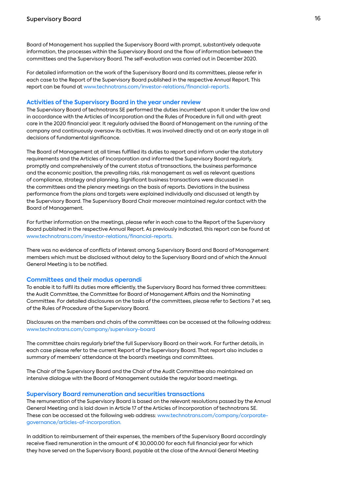Board of Management has supplied the Supervisory Board with prompt, substantively adequate information, the processes within the Supervisory Board and the flow of information between the committees and the Supervisory Board. The self-evaluation was carried out in December 2020.

For detailed information on the work of the Supervisory Board and its committees, please refer in each case to the Report of the Supervisory Board published in the respective Annual Report. This report can be found at www.technotrans.com/investor-relations/financial-reports.

### **Activities of the Supervisory Board in the year under review**

The Supervisory Board of technotrans SE performed the duties incumbent upon it under the law and in accordance with the Articles of Incorporation and the Rules of Procedure in full and with great care in the 2020 financial year. It regularly advised the Board of Management on the running of the company and continuously oversaw its activities. It was involved directly and at an early stage in all decisions of fundamental significance.

The Board of Management at all times fulfilled its duties to report and inform under the statutory requirements and the Articles of Incorporation and informed the Supervisory Board regularly, promptly and comprehensively of the current status of transactions, the business performance and the economic position, the prevailing risks, risk management as well as relevant questions of compliance, strategy and planning. Significant business transactions were discussed in the committees and the plenary meetings on the basis of reports. Deviations in the business performance from the plans and targets were explained individually and discussed at length by the Supervisory Board. The Supervisory Board Chair moreover maintained regular contact with the Board of Management.

For further information on the meetings, please refer in each case to the Report of the Supervisory Board published in the respective Annual Report. As previously indicated, this report can be found at www.technotrans.com/investor-relations/financial-reports.

There was no evidence of conflicts of interest among Supervisory Board and Board of Management members which must be disclosed without delay to the Supervisory Board and of which the Annual General Meeting is to be notified.

### **Committees and their modus operandi**

To enable it to fulfil its duties more efficiently, the Supervisory Board has formed three committees: the Audit Committee, the Committee for Board of Management Affairs and the Nominating Committee. For detailed disclosures on the tasks of the committees, please refer to Sections 7 et seq. of the Rules of Procedure of the Supervisory Board.

Disclosures on the members and chairs of the committees can be accessed at the following address: www.technotrans.com/company/supervisory-board

The committee chairs regularly brief the full Supervisory Board on their work. For further details, in each case please refer to the current Report of the Supervisory Board. That report also includes a summary of members' attendance at the board's meetings and committees.

The Chair of the Supervisory Board and the Chair of the Audit Committee also maintained an intensive dialogue with the Board of Management outside the regular board meetings.

#### **Supervisory Board remuneration and securities transactions**

The remuneration of the Supervisory Board is based on the relevant resolutions passed by the Annual General Meeting and is laid down in Article 17 of the Articles of Incorporation of technotrans SE. These can be accessed at the following web address: www.technotrans.com/company/corporategovernance/articles-of-incorporation.

In addition to reimbursement of their expenses, the members of the Supervisory Board accordingly receive fixed remuneration in the amount of € 30,000.00 for each full financial year for which they have served on the Supervisory Board, payable at the close of the Annual General Meeting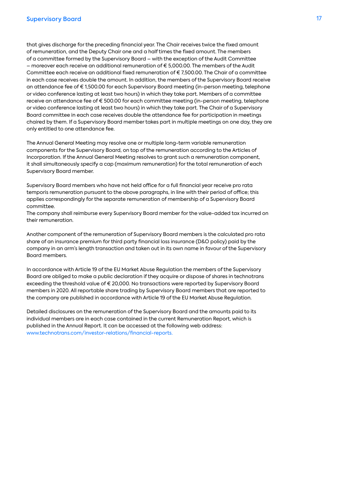that gives discharge for the preceding financial year. The Chair receives twice the fixed amount of remuneration, and the Deputy Chair one and a half times the fixed amount. The members of a committee formed by the Supervisory Board – with the exception of the Audit Committee – moreover each receive an additional remuneration of € 5,000.00. The members of the Audit Committee each receive an additional fixed remuneration of € 7,500.00. The Chair of a committee in each case receives double the amount. In addition, the members of the Supervisory Board receive an attendance fee of € 1,500.00 for each Supervisory Board meeting (in-person meeting, telephone or video conference lasting at least two hours) in which they take part. Members of a committee receive an attendance fee of € 500.00 for each committee meeting (in-person meeting, telephone or video conference lasting at least two hours) in which they take part. The Chair of a Supervisory Board committee in each case receives double the attendance fee for participation in meetings chaired by them. If a Supervisory Board member takes part in multiple meetings on one day, they are only entitled to one attendance fee.

The Annual General Meeting may resolve one or multiple long-term variable remuneration components for the Supervisory Board, on top of the remuneration according to the Articles of Incorporation. If the Annual General Meeting resolves to grant such a remuneration component, it shall simultaneously specify a cap (maximum remuneration) for the total remuneration of each Supervisory Board member.

Supervisory Board members who have not held office for a full financial year receive pro rata temporis remuneration pursuant to the above paragraphs, in line with their period of office; this applies correspondingly for the separate remuneration of membership of a Supervisory Board committee.

The company shall reimburse every Supervisory Board member for the value-added tax incurred on their remuneration.

Another component of the remuneration of Supervisory Board members is the calculated pro rata share of an insurance premium for third party financial loss insurance (D&O policy) paid by the company in an arm's length transaction and taken out in its own name in favour of the Supervisory Board members.

In accordance with Article 19 of the EU Market Abuse Regulation the members of the Supervisory Board are obliged to make a public declaration if they acquire or dispose of shares in technotrans exceeding the threshold value of € 20,000. No transactions were reported by Supervisory Board members in 2020. All reportable share trading by Supervisory Board members that are reported to the company are published in accordance with Article 19 of the EU Market Abuse Regulation.

Detailed disclosures on the remuneration of the Supervisory Board and the amounts paid to its individual members are in each case contained in the current Remuneration Report, which is published in the Annual Report. It can be accessed at the following web address: www.technotrans.com/investor-relations/financial-reports.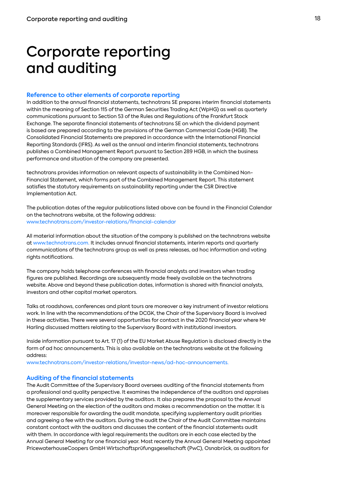## Corporate reporting and auditing

### **Reference to other elements of corporate reporting**

In addition to the annual financial statements, technotrans SE prepares interim financial statements within the meaning of Section 115 of the German Securities Trading Act (WpHG) as well as quarterly communications pursuant to Section 53 of the Rules and Regulations of the Frankfurt Stock Exchange. The separate financial statements of technotrans SE on which the dividend payment is based are prepared according to the provisions of the German Commercial Code (HGB). The Consolidated Financial Statements are prepared in accordance with the International Financial Reporting Standards (IFRS). As well as the annual and interim financial statements, technotrans publishes a Combined Management Report pursuant to Section 289 HGB, in which the business performance and situation of the company are presented.

technotrans provides information on relevant aspects of sustainability in the Combined Non-Financial Statement, which forms part of the Combined Management Report. This statement satisfies the statutory requirements on sustainability reporting under the CSR Directive Implementation Act.

The publication dates of the regular publications listed above can be found in the Financial Calendar on the technotrans website, at the following address: www.technotrans.com/investor-relations/financial-calendar

All material information about the situation of the company is published on the technotrans website at www.technotrans.com. It includes annual financial statements, interim reports and quarterly communications of the technotrans group as well as press releases, ad hoc information and voting rights notifications.

The company holds telephone conferences with financial analysts and investors when trading figures are published. Recordings are subsequently made freely available on the technotrans website. Above and beyond these publication dates, information is shared with financial analysts, investors and other capital market operators.

Talks at roadshows, conferences and plant tours are moreover a key instrument of investor relations work. In line with the recommendations of the DCGK, the Chair of the Supervisory Board is involved in these activities. There were several opportunities for contact in the 2020 financial year where Mr Harling discussed matters relating to the Supervisory Board with institutional investors.

Inside information pursuant to Art. 17 (1) of the EU Market Abuse Regulation is disclosed directly in the form of ad hoc announcements. This is also available on the technotrans website at the following address:

www.technotrans.com/investor-relations/investor-news/ad-hoc-announcements.

### **Auditing of the financial statements**

The Audit Committee of the Supervisory Board oversees auditing of the financial statements from a professional and quality perspective. It examines the independence of the auditors and appraises the supplementary services provided by the auditors. It also prepares the proposal to the Annual General Meeting on the election of the auditors and makes a recommendation on the matter. It is moreover responsible for awarding the audit mandate, specifying supplementary audit priorities and agreeing a fee with the auditors. During the audit the Chair of the Audit Committee maintains constant contact with the auditors and discusses the content of the financial statements audit with them. In accordance with legal requirements the auditors are in each case elected by the Annual General Meeting for one financial year. Most recently the Annual General Meeting appointed PricewaterhouseCoopers GmbH Wirtschaftsprüfungsgesellschaft (PwC), Osnabrück, as auditors for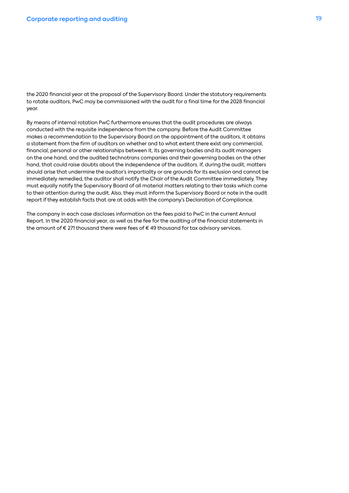the 2020 financial year at the proposal of the Supervisory Board. Under the statutory requirements to rotate auditors, PwC may be commissioned with the audit for a final time for the 2028 financial year.

By means of internal rotation PwC furthermore ensures that the audit procedures are always conducted with the requisite independence from the company. Before the Audit Committee makes a recommendation to the Supervisory Board on the appointment of the auditors, it obtains a statement from the firm of auditors on whether and to what extent there exist any commercial, financial, personal or other relationships between it, its governing bodies and its audit managers on the one hand, and the audited technotrans companies and their governing bodies on the other hand, that could raise doubts about the independence of the auditors. If, during the audit, matters should arise that undermine the auditor's impartiality or are grounds for its exclusion and cannot be immediately remedied, the auditor shall notify the Chair of the Audit Committee immediately. They must equally notify the Supervisory Board of all material matters relating to their tasks which come to their attention during the audit. Also, they must inform the Supervisory Board or note in the audit report if they establish facts that are at odds with the company's Declaration of Compliance.

The company in each case discloses information on the fees paid to PwC in the current Annual Report. In the 2020 financial year, as well as the fee for the auditing of the financial statements in the amount of  $\epsilon$  271 thousand there were fees of  $\epsilon$  49 thousand for tax advisory services.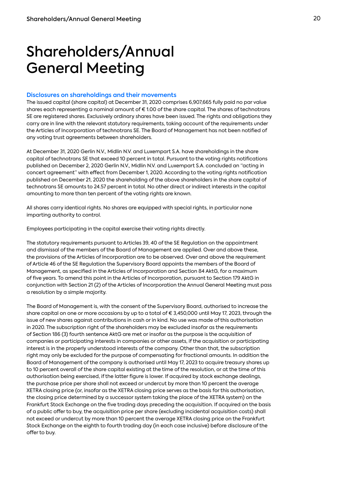# Shareholders/Annual General Meeting

### **Disclosures on shareholdings and their movements**

The issued capital (share capital) at December 31, 2020 comprises 6,907,665 fully paid no par value shares each representing a nominal amount of € 1.00 of the share capital. The shares of technotrans SE are registered shares. Exclusively ordinary shares have been issued. The rights and obligations they carry are in line with the relevant statutory requirements, taking account of the requirements under the Articles of Incorporation of technotrans SE. The Board of Management has not been notified of any voting trust agreements between shareholders.

At December 31, 2020 Gerlin N.V., Midlin N.V. and Luxempart S.A. have shareholdings in the share capital of technotrans SE that exceed 10 percent in total. Pursuant to the voting rights notifications published on December 2, 2020 Gerlin N.V., Midlin N.V. and Luxempart S.A. concluded an "acting in concert agreement" with effect from December 1, 2020. According to the voting rights notification published on December 21, 2020 the shareholding of the above shareholders in the share capital of technotrans SE amounts to 24.57 percent in total. No other direct or indirect interests in the capital amounting to more than ten percent of the voting rights are known.

All shares carry identical rights. No shares are equipped with special rights, in particular none imparting authority to control.

Employees participating in the capital exercise their voting rights directly.

The statutory requirements pursuant to Articles 39, 40 of the SE Regulation on the appointment and dismissal of the members of the Board of Management are applied. Over and above these, the provisions of the Articles of Incorporation are to be observed. Over and above the requirement of Article 46 of the SE Regulation the Supervisory Board appoints the members of the Board of Management, as specified in the Articles of Incorporation and Section 84 AktG, for a maximum of five years. To amend this point in the Articles of Incorporation, pursuant to Section 179 AktG in conjunction with Section 21 (2) of the Articles of Incorporation the Annual General Meeting must pass a resolution by a simple majority.

The Board of Management is, with the consent of the Supervisory Board, authorised to increase the share capital on one or more occasions by up to a total of € 3,450,000 until May 17, 2023, through the issue of new shares against contributions in cash or in kind. No use was made of this authorisation in 2020. The subscription right of the shareholders may be excluded insofar as the requirements of Section 186 (3) fourth sentence AktG are met or insofar as the purpose is the acquisition of companies or participating interests in companies or other assets, if the acquisition or participating interest is in the properly understood interests of the company. Other than that, the subscription right may only be excluded for the purpose of compensating for fractional amounts. In addition the Board of Management of the company is authorised until May 17, 2023 to acquire treasury shares up to 10 percent overall of the share capital existing at the time of the resolution, or at the time of this authorisation being exercised, if the latter figure is lower. If acquired by stock exchange dealings, the purchase price per share shall not exceed or undercut by more than 10 percent the average XETRA closing price (or, insofar as the XETRA closing price serves as the basis for this authorisation, the closing price determined by a successor system taking the place of the XETRA system) on the Frankfurt Stock Exchange on the five trading days preceding the acquisition. If acquired on the basis of a public offer to buy, the acquisition price per share (excluding incidental acquisition costs) shall not exceed or undercut by more than 10 percent the average XETRA closing price on the Frankfurt Stock Exchange on the eighth to fourth trading day (in each case inclusive) before disclosure of the offer to buy.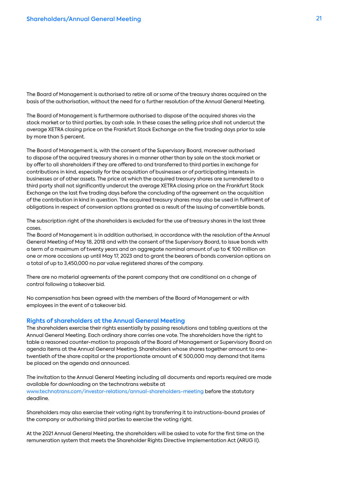The Board of Management is authorised to retire all or some of the treasury shares acquired on the basis of the authorisation, without the need for a further resolution of the Annual General Meeting.

The Board of Management is furthermore authorised to dispose of the acquired shares via the stock market or to third parties, by cash sale. In these cases the selling price shall not undercut the average XETRA closing price on the Frankfurt Stock Exchange on the five trading days prior to sale by more than 5 percent.

The Board of Management is, with the consent of the Supervisory Board, moreover authorised to dispose of the acquired treasury shares in a manner other than by sale on the stock market or by offer to all shareholders if they are offered to and transferred to third parties in exchange for contributions in kind, especially for the acquisition of businesses or of participating interests in businesses or of other assets. The price at which the acquired treasury shares are surrendered to a third party shall not significantly undercut the average XETRA closing price on the Frankfurt Stock Exchange on the last five trading days before the concluding of the agreement on the acquisition of the contribution in kind in question. The acquired treasury shares may also be used in fulfilment of obligations in respect of conversion options granted as a result of the issuing of convertible bonds.

The subscription right of the shareholders is excluded for the use of treasury shares in the last three cases.

The Board of Management is in addition authorised, in accordance with the resolution of the Annual General Meeting of May 18, 2018 and with the consent of the Supervisory Board, to issue bonds with a term of a maximum of twenty years and an aggregate nominal amount of up to € 100 million on one or more occasions up until May 17, 2023 and to grant the bearers of bonds conversion options on a total of up to 3,450,000 no par value registered shares of the company.

There are no material agreements of the parent company that are conditional on a change of control following a takeover bid.

No compensation has been agreed with the members of the Board of Management or with employees in the event of a takeover bid.

### **Rights of shareholders at the Annual General Meeting**

The shareholders exercise their rights essentially by passing resolutions and tabling questions at the Annual General Meeting. Each ordinary share carries one vote. The shareholders have the right to table a reasoned counter-motion to proposals of the Board of Management or Supervisory Board on agenda items at the Annual General Meeting. Shareholders whose shares together amount to onetwentieth of the share capital or the proportionate amount of  $\epsilon$  500,000 may demand that items be placed on the agenda and announced.

The invitation to the Annual General Meeting including all documents and reports required are made available for downloading on the technotrans website at www.technotrans.com/investor-relations/annual-shareholders-meeting before the statutory deadline.

Shareholders may also exercise their voting right by transferring it to instructions-bound proxies of the company or authorising third parties to exercise the voting right.

At the 2021 Annual General Meeting, the shareholders will be asked to vote for the first time on the remuneration system that meets the Shareholder Rights Directive Implementation Act (ARUG II).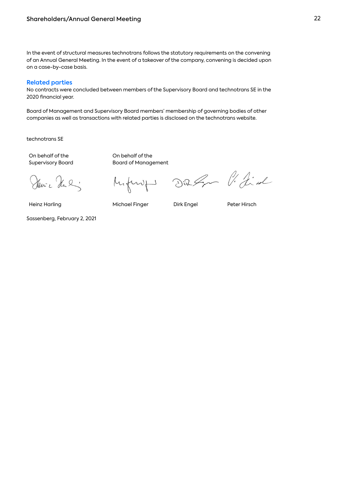In the event of structural measures technotrans follows the statutory requirements on the convening of an Annual General Meeting. In the event of a takeover of the company, convening is decided upon on a case-by-case basis.

### **Related parties**

No contracts were concluded between members of the Supervisory Board and technotrans SE in the 2020 financial year.

Board of Management and Supervisory Board members' membership of governing bodies of other companies as well as transactions with related parties is disclosed on the technotrans website.

technotrans SE

On behalf of the Supervisory Board On behalf of the Board of Management

Den- e Hal

lyfung

Die Gr l'Iid

Heinz Harling Michael Finger Dirk Engel Peter Hirsch

Sassenberg, February 2, 2021